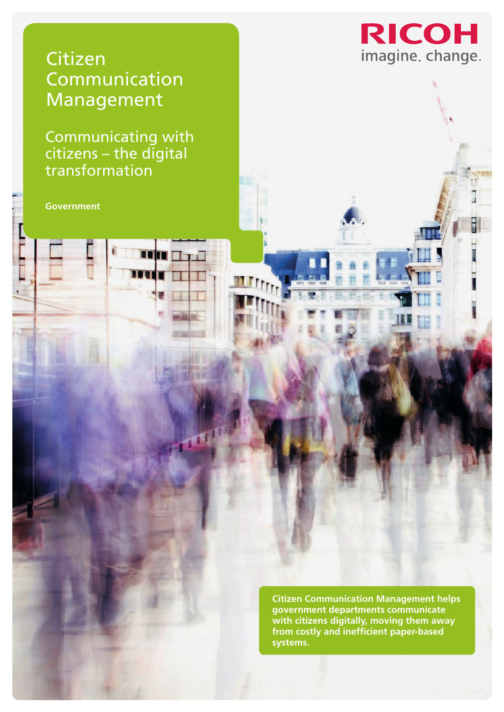

Ī

# Citizen **Communication** Management

Communicating with citizens – the digital transformation

 $\Gamma$ 

**Government**

**Citizen Communication Management helps government departments communicate with citizens digitally, moving them away from costly and inefficient paper-based systems.**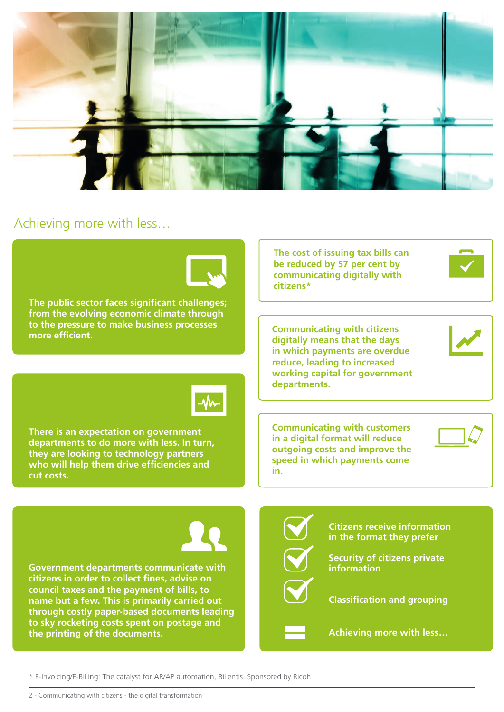

## Achieving more with less…



\* E-Invoicing/E-Billing: The catalyst for AR/AP automation, Billentis. Sponsored by Ricoh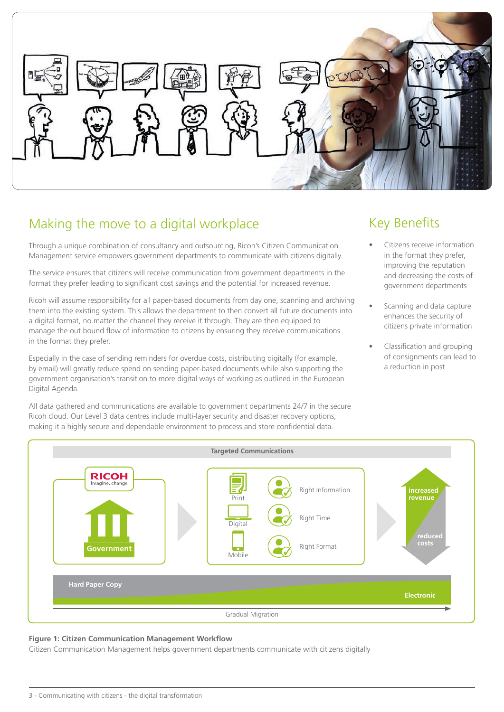

# Making the move to a digital workplace

Through a unique combination of consultancy and outsourcing, Ricoh's Citizen Communication Management service empowers government departments to communicate with citizens digitally.

The service ensures that citizens will receive communication from government departments in the format they prefer leading to significant cost savings and the potential for increased revenue.

Ricoh will assume responsibility for all paper-based documents from day one, scanning and archiving them into the existing system. This allows the department to then convert all future documents into a digital format, no matter the channel they receive it through. They are then equipped to manage the out bound flow of information to citizens by ensuring they receive communications in the format they prefer.

Especially in the case of sending reminders for overdue costs, distributing digitally (for example, by email) will greatly reduce spend on sending paper-based documents while also supporting the government organisation's transition to more digital ways of working as outlined in the European Digital Agenda.

All data gathered and communications are available to government departments 24/7 in the secure Ricoh cloud. Our Level 3 data centres include multi-layer security and disaster recovery options, making it a highly secure and dependable environment to process and store confidential data.

# Key Benefits

- Citizens receive information in the format they prefer, improving the reputation and decreasing the costs of government departments
- Scanning and data capture enhances the security of citizens private information
- Classification and grouping of consignments can lead to a reduction in post



#### **Figure 1: Citizen Communication Management Workflow**

Citizen Communication Management helps government departments communicate with citizens digitally